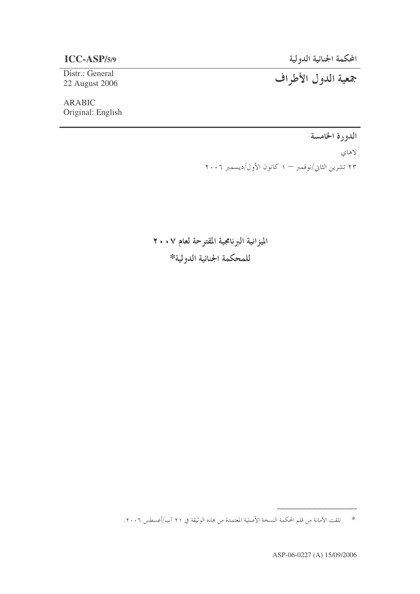## $ICC-ASP/5/9$

Distr.: General 22 August 2006

## المحكمة الجنائية الدولية<br>جمعية الدول الأطراف

**ARABIC** Original: English

الدورة الخامسة

لاهاى ۲۳ تشرین الثانی/نوفمبر – ۱ کانون الأول/دیسمبر ۲۰۰۶

الميزانية البرنامجية المقترحة لعام ٢٠٠٧ للمحكمة الجنائية الدولية\*

تلقت الأمانة من قلم المحكمة النسخة الأصلية المعتمدة من هذه الوثيقة في ٢١ آب/أغسطس ٢٠٠٦.  $\ast$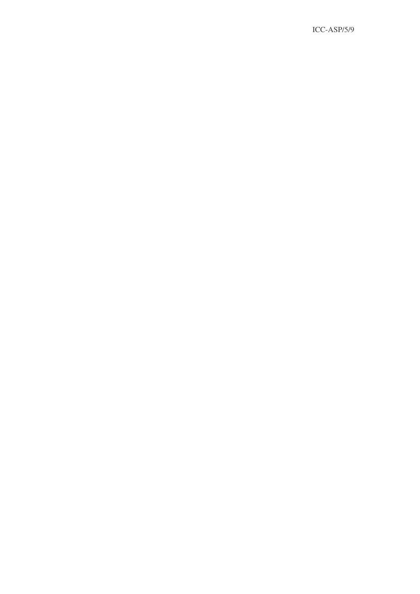## ICC-ASP/5/9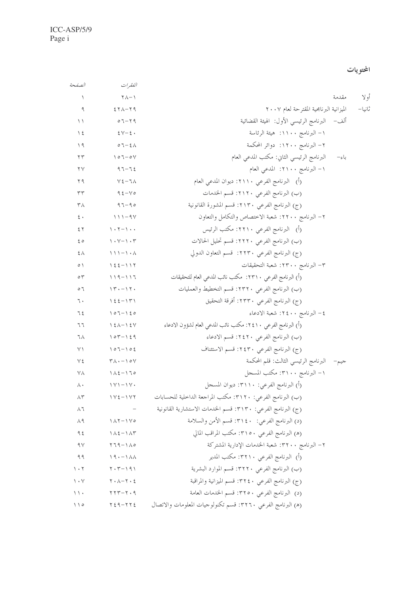المحتويات

|        |       |                                                                | الفقرات                                                                                                  | الصفحة                          |
|--------|-------|----------------------------------------------------------------|----------------------------------------------------------------------------------------------------------|---------------------------------|
| أولا   | مقدمة |                                                                | $\uparrow \wedge - \uparrow$                                                                             | $\lambda$                       |
| ثانيا– |       | الميزانية البرنامجية المقترحة لعام ٢٠٠٧                        | $57 - 79$                                                                                                | ٩                               |
|        |       | ألف– البرنامج الرئيسي الأول: الهيئة القضائية                   | $07 - 79$                                                                                                | $\setminus$                     |
|        |       | ١– البرنامج ١١٠٠: هيئة الرئاسة                                 | $2V - 2$ .                                                                                               | $\setminus$ 2                   |
|        |       | ٢– البرنامج ٢٠١٢:  دوائر المحكمة                               | $07 - 24$                                                                                                | $\backslash$ ٩                  |
|        | باءِ— | البرنامج الرئيسي الثاني: مكتب المدعى العام                     | $\setminus \circ \top - \circ \vee$                                                                      | ۲۳                              |
|        |       | ١– البرنامج ٢١٠٠: المدعى العام                                 | $97 - 72$                                                                                                | $\gamma \gamma$                 |
|        |       | (أ)   البرنامج الفرعي ٢١١٠: ديوان المدعى العام                 | $V \xi - \tau \Lambda$                                                                                   | ۲۹                              |
|        |       | (ب) البرنامج الفرعي ٢١٢٠: قسم الخدمات                          | $95 - Y0$                                                                                                | ٣٣                              |
|        |       | (ج) البرنامج الفرعي ٢١٣٠: قسم المشورة القانونية                | $97 - 90$                                                                                                | $\mathsf{r}_\wedge$             |
|        |       | ٢– البرنامج ٢٢٠٠: شعبة الاختصاص والتكامل والتعاون              | $111 - 91$                                                                                               | ٤٠                              |
|        |       | (أ)    البرنامج الفرعي ٢٢١٠: مكتب الرئيس                       | $\backslash$ . $\backslash$ $ \backslash$ $\backslash$ .                                                 | 55                              |
|        |       | (ب) البرنامج الفرعي ٢٢٢٠: قسم تحليل الحالات                    | $\backslash\, \cdot\, \backslash\!\!\backslash -\backslash\, \cdot\, \backslash\,$                       | ه ٤                             |
|        |       | (ج) البرنامج الفرعي ٢٢٣٠: قسم التعاون الدولي                   | $\backslash$ $\backslash$ $\backslash$ $ \backslash$ $\cdot$ $\backslash$                                | ٤٨                              |
|        |       | ٣- البرنامج ٢٣٠٠: شعبة التحقيقات                               | $155 - 117$                                                                                              | $\circ$ \                       |
|        |       | (أ) البرنامج الفرعي ٢٣١٠: مكتب نائب المدعى العام للتحقيقات     | $119 - 117$                                                                                              | $\circ$ $\tau$                  |
|        |       | (ب) البرنامج الفرعي ٢٣٢٠: قسم التخطيط والعمليات                | $\setminus \Upsilon \cdot - \setminus \Upsilon \cdot$                                                    | ٥٦                              |
|        |       | (ج) البرنامج الفرعي ٢٣٣٠: أفرقة التحقيق                        | $\gamma$ { { - $\gamma$ $\gamma$ $\gamma$                                                                | ٦٠                              |
|        |       | ٤ – البرنامج ٢٤٠٠: شعبة الادعاء                                | $\setminus \circ \top - \setminus \xi \circ$                                                             | ٦٤                              |
|        |       | (أ) البرنامج الفرعي ٢٤١٠: مكتب نائب المدعى العام لشؤون الادعاء | $\lambda \xi \lambda - \lambda \xi V$                                                                    | ٦٦                              |
|        |       | (ب) البرنامج الفرعي ٢٤٢٠: قسم الادعاء                          | $107 - 129$                                                                                              | ٦٨                              |
|        |       | (ج) البرنامج الفرعي ٢٤٣٠: قسم الاستئناف                        | $107 - 102$                                                                                              | $\vee$ $\wedge$                 |
|        |       | جيم− البرنامج الرئيسي الثالث: قلم المحكمة                      | $\Upsilon \wedge \cdot - \wedge \circ \vee$                                                              | V٤                              |
|        |       | ١– البرنامج ٣١٠٠: مكتب المسجل                                  | $115 - 170$                                                                                              | VΛ                              |
|        |       | (أ) البرنامج الفرعي: ٣١١٠: ديوان المسجل                        | $\setminus \bigvee \bigwedge - \bigwedge \bigvee \star$                                                  | $\wedge$ .                      |
|        |       | (ب) البرنامج الفرعي: ٣١٢٠: مكتب المراجعة الداخلية للحسابات     | $\setminus \vee \xi - \setminus \vee \curlyvee$                                                          | $\wedge\curlyvee$               |
|        |       | (ج) البرنامج الفرعي: ٣١٣٠: قسم الخدمات الاستشارية القانونية    |                                                                                                          | ۸٦                              |
|        |       | (د) البرنامج الفرعي: ٢١٤٠: قسم الأمن والسلامة                  | $1 \wedge 7 - 1 \vee 0$                                                                                  | ۸۹                              |
|        |       | (هـ) البرنامج الفرعي ٣١٥٠: مكتب المراقب المالي                 | $1\wedge \xi - 1\wedge \tau$                                                                             | ۹٤                              |
|        |       | ٢– البرنامج ٣٢٠٠: شعبة الحدمات الإدارية المشتركة               | $Y19 - Y10$                                                                                              | ۹۷                              |
|        |       | (أ) البرنامج الفرعي ٣٢١٠: مكتب المدير                          | $\setminus \mathop{\mathsf{A}} \cdot \mathop{\mathsf{A}} \setminus \mathop{\mathsf{A}} \wedge$           | 99                              |
|        |       | (ب) البرنامج الفرعي ٣٢٢٠: قسم الموارد البشرية                  | $\gamma \cdot \gamma - \gamma \mathop{}\!\mathrel{\mathrel{\mathop{\scriptstyle\circ}}\nolimits} \gamma$ | $\mathcal{N} \cdot \mathcal{N}$ |
|        |       | (ج) البرنامج الفرعي ٢٢٤٠: قسم الميزانية والمراقبة              | $\mathbf{Y}\cdot \mathbf{A}-\mathbf{Y}\cdot \mathbf{E}$                                                  | $\setminus \cdot \vee$          |
|        |       | (د) البرنامج الفرعي ٣٢٥٠: قسم الخدمات العامة                   | $\gamma \gamma - \gamma \cdot q$                                                                         | 11.                             |
|        |       | (هـ) البرنامج الفرعي ٣٢٦٠: قسم تكنولوجيات المعلومات والاتصال   | $Y \xi \eta - Y Y \xi$                                                                                   | $\setminus \circ$               |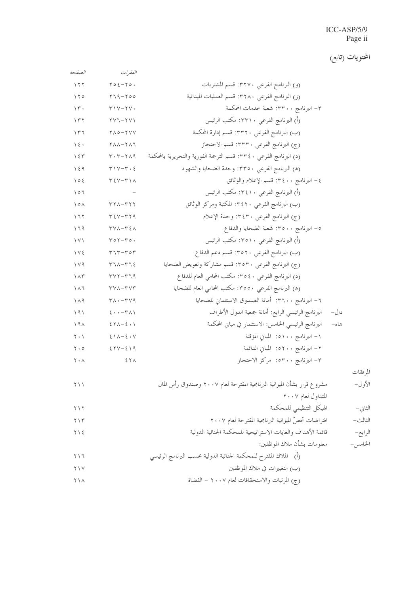## المحتويات (تابع)

| 177                            | $\gamma \circ \xi - \gamma \circ \cdot$                                                 | (و) البرنامج الفرعي ٣٢٧٠: قسم المشتريات                                  |          |
|--------------------------------|-----------------------------------------------------------------------------------------|--------------------------------------------------------------------------|----------|
| 170                            | $579 - 700$                                                                             | (ز) البرنامج الفرعي ٣٢٨٠: قسم العمليات الميدانية                         |          |
| $\gamma$                       | $Y \vee Y - Y \vee \cdot$                                                               | ٣– البرنامج ٣٣٠٠: شعبة خدمات المحكمة                                     |          |
| 177                            | $YY7-YY1$                                                                               | (أ) البرنامج الفرعي ٣٣١٠: مكتب الرئيس                                    |          |
| 177                            | $Y \wedge Q - Y V V$                                                                    | (ب) البرنامج الفرعي ٣٣٢٠: قسم إدارة المحكمة                              |          |
| $\backslash$ { $\cdot$         | $T\wedge T-\wedge\wedge T$                                                              | (ج) البرنامج الفرعي ٣٣٣٠: قسم الاحتجاز                                   |          |
| 157                            | $P \wedge T - T \wedge T$                                                               | (د) البرنامج الفرعي ٣٣٤٠: قسم الترجمة الفورية والتحريرية بالمحكمة        |          |
| 159                            | $\Upsilon \setminus \Upsilon - \Upsilon \cdot \xi$                                      | (هـ) البرنامج الفرعي ٣٣٥٠: وحدة الضحايا والشهود                          |          |
| 105                            | $\tau \xi \nu - \tau \gamma \lambda$                                                    | ٤ – البرنامج ٣٤٠٠: قسم الإعلام والوثائق                                  |          |
| ۱۰٦                            |                                                                                         | (أ) البرنامج الفرعي ٣٤١٠: مكتب الرئيس                                    |          |
| $\Delta$                       | $YY\Lambda - YYY$                                                                       | (ب) البرنامج الفرعي ٣٤٢٠: المكتبة ومركز الوثائق                          |          |
| 177                            | $T5V-T79$                                                                               | (ج) البرنامج الفرعي ٣٤٣٠: وحدة الإعلام                                   |          |
| 179                            | $\mathbf{r} \vee \wedge -\mathbf{r} \in \wedge$                                         | ٥- البرنامج ٣٥٠٠: شعبة الضحايا والدفاع                                   |          |
| $\vee$                         | $\mathbf{r} \circ \mathbf{r} - \mathbf{r} \circ \mathbf{v}$                             | (أ) البرنامج الفرعي ٣٥١٠: مكتب الرئيس                                    |          |
| $\sqrt{\epsilon}$              | $r\tau r-r$                                                                             | (ب) البرنامج الفرعي ٣٥٢٠: قسم دعم الدفاع                                 |          |
| 119                            | $Y7\lambda - Y72$                                                                       | (ج) البرنامج الفرعي ٣٥٣٠: قسم مشاركة وتعويض الضحايا                      |          |
| $\Lambda \tau$                 | $rvr - r79$                                                                             | (د) البرنامج الفرعي ٢٥٤٠: مكتب المحامي العام للدفاع                      |          |
| $\backslash \wedge \backslash$ | $\mathsf{r} \mathsf{v} \mathsf{v}$ - $\mathsf{r} \mathsf{v} \mathsf{r}$                 | (هـ) البرنامج الفرعي ٣٥٥٠: مكتب المحامي العام للضحايا                    |          |
| 119                            | $\mathsf{r}\wedge\cdot-\mathsf{r}\vee\mathsf{q}$                                        | ٦- البرنامج ٣٦٠٠: أمانة الصندوق الاستئماني للضحايا                       |          |
| 191                            | $2 \cdot \cdot -7 \wedge 1$                                                             | البرنامج الرئيسي الرابع: أمانة جمعية الدول الأطراف<br>دال –              |          |
| 19 <sub>A</sub>                | $\mathbf{\xi}\mathbf{\Upsilon}\mathbf{\Lambda}\mathbf{-\xi}\mathbf{.}\mathbf{\Upsilon}$ | البرنامج الرئيسي الخامس: الاستثمار في مباني المحكمة<br>هاءِ–             |          |
| $\mathbf{Y} \cdot \mathbf{Y}$  | $\S$ \ $\Lambda - \Sigma$ . $\vee$                                                      | ١– البرنامج ١٠٠ه: المباني المؤقتة                                        |          |
| $Y \cdot o$                    | $2YV - 299$                                                                             | ٢– البرنامج ٢٠٠٠: المباني الدائمة                                        |          |
| $\mathbf{Y} \cdot \mathbf{A}$  | ٤٢٨                                                                                     | ٣- البرنامج ٥٣٠٠: مركز الاحتجاز                                          |          |
|                                |                                                                                         |                                                                          | المرفقات |
| $\gamma \wedge \gamma$         |                                                                                         | مشروع قرار بشأن الميزانية البرنامجية المقترحة لعام ٢٠٠٧ وصندوق رأس المال | الأول–   |
|                                |                                                                                         | المتداول لعام ٢٠٠٧                                                       |          |
| $Y \wedge Y$                   |                                                                                         | الهيكل التنظيمي للمحكمة                                                  | الثاني – |
| $Y \wedge Y$                   |                                                                                         | افتراضات تخصّ الميزانية البرنامجية المقترحة لعام ٢٠٠٧                    | الثالث–  |
| $Y \setminus 2$                |                                                                                         | قائمة الأهداف والغايات الاستراتيجية للمحكمة الجنائية الدولية             | الرابع–  |
|                                |                                                                                         | معلومات بشأن ملاك الموظفين:                                              | الخامس – |
| ۳۱٦                            |                                                                                         | (أ) الملاك المقترح للمحكمة الجنائية الدولية بحسب البرنامج الرئيسي        |          |
| ۲۱۷                            |                                                                                         | (ب) التغييرات في ملاك الموظفين                                           |          |
| ۲۱۸                            |                                                                                         | (ج) المرتبات والاستحقاقات لعام ٢٠٠٧ - القضاة                             |          |

الصفحة

الفقرات